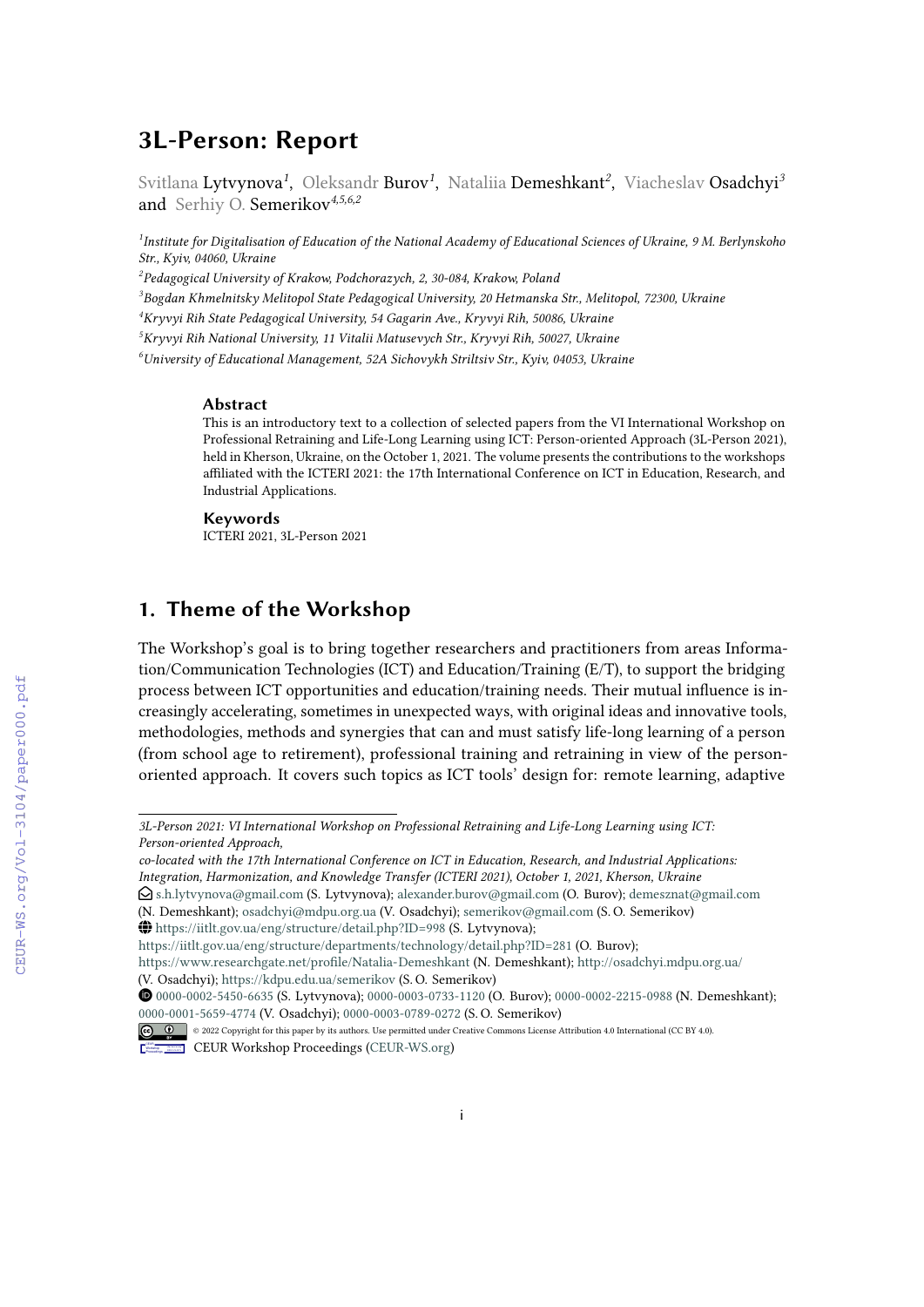# **3L-Person: Report**

Svitlana Lytvynova<sup>1</sup>, Oleksandr Burov<sup>1</sup>, Nataliia Demeshkant<sup>2</sup>, Viacheslav Osadchyi<sup>3</sup> and Serhiy O. Semerikov*4,5,6,2*

*1 Institute for Digitalisation of Education of the National Academy of Educational Sciences of Ukraine, 9 M. Berlynskoho Str., Kyiv, 04060, Ukraine*

*2 Pedagogical University of Krakow, Podchorazych, 2, 30-084, Krakow, Poland*

*3 Bogdan Khmelnitsky Melitopol State Pedagogical University, 20 Hetmanska Str., Melitopol, 72300, Ukraine*

*<sup>4</sup>Kryvyi Rih State Pedagogical University, 54 Gagarin Ave., Kryvyi Rih, 50086, Ukraine*

*<sup>5</sup>Kryvyi Rih National University, 11 Vitalii Matusevych Str., Kryvyi Rih, 50027, Ukraine*

*<sup>6</sup>University of Educational Management, 52A Sichovykh Striltsiv Str., Kyiv, 04053, Ukraine*

#### **Abstract**

This is an introductory text to a collection of selected papers from the VI International Workshop on Professional Retraining and Life-Long Learning using ICT: Person-oriented Approach (3L-Person 2021), held in Kherson, Ukraine, on the October 1, 2021. The volume presents the contributions to the workshops affiliated with the ICTERI 2021: the 17th International Conference on ICT in Education, Research, and Industrial Applications.

#### **Keywords**

ICTERI 2021, 3L-Person 2021

# **1. Theme of the Workshop**

The Workshop's goal is to bring together researchers and practitioners from areas Information/Communication Technologies (ICT) and Education/Training (E/T), to support the bridging process between ICT opportunities and education/training needs. Their mutual influence is increasingly accelerating, sometimes in unexpected ways, with original ideas and innovative tools, methodologies, methods and synergies that can and must satisfy life-long learning of a person (from school age to retirement), professional training and retraining in view of the personoriented approach. It covers such topics as ICT tools' design for: remote learning, adaptive

CEUR-WS.org/Vol-3104/paper000.pdf

*<sup>3</sup>L-Person 2021: VI International Workshop on Professional Retraining and Life-Long Learning using ICT: Person-oriented Approach,*

*co-located with the 17th International Conference on ICT in Education, Research, and Industrial Applications: Integration, Harmonization, and Knowledge Transfer (ICTERI 2021), October 1, 2021, Kherson, Ukraine*

<sup>&</sup>quot; [s.h.lytvynova@gmail.com](mailto:s.h.lytvynova@gmail.com) (S. Lytvynova); [alexander.burov@gmail.com](mailto:alexander.burov@gmail.com) (O. Burov); [demesznat@gmail.com](mailto:demesznat@gmail.com)

<sup>(</sup>N. Demeshkant); [osadchyi@mdpu.org.ua](mailto:osadchyi@mdpu.org.ua) (V. Osadchyi); [semerikov@gmail.com](mailto:semerikov@gmail.com) (S. O. Semerikov) ~ <https://iitlt.gov.ua/eng/structure/detail.php?ID=998> (S. Lytvynova);

<https://iitlt.gov.ua/eng/structure/departments/technology/detail.php?ID=281> (O. Burov);

<https://www.researchgate.net/profile/Natalia-Demeshkant> (N. Demeshkant); <http://osadchyi.mdpu.org.ua/>

<sup>(</sup>V. Osadchyi); <https://kdpu.edu.ua/semerikov> (S. O. Semerikov)

[0000-0002-5450-6635](https://orcid.org/0000-0002-5450-6635) (S. Lytvynova); [0000-0003-0733-1120](https://orcid.org/0000-0003-0733-1120) (O. Burov); [0000-0002-2215-0988](https://orcid.org/0000-0002-2215-0988) (N. Demeshkant); [0000-0001-5659-4774](https://orcid.org/0000-0001-5659-4774) (V. Osadchyi); [0000-0003-0789-0272](https://orcid.org/0000-0003-0789-0272) (S. O. Semerikov)

<sup>©</sup> 2022 Copyright for this paper by its authors. Use permitted under Creative Commons License Attribution 4.0 International (CC BY 4.0). CEUR Workshop [Proceedings](http://ceur-ws.org) [\(CEUR-WS.org\)](http://ceur-ws.org)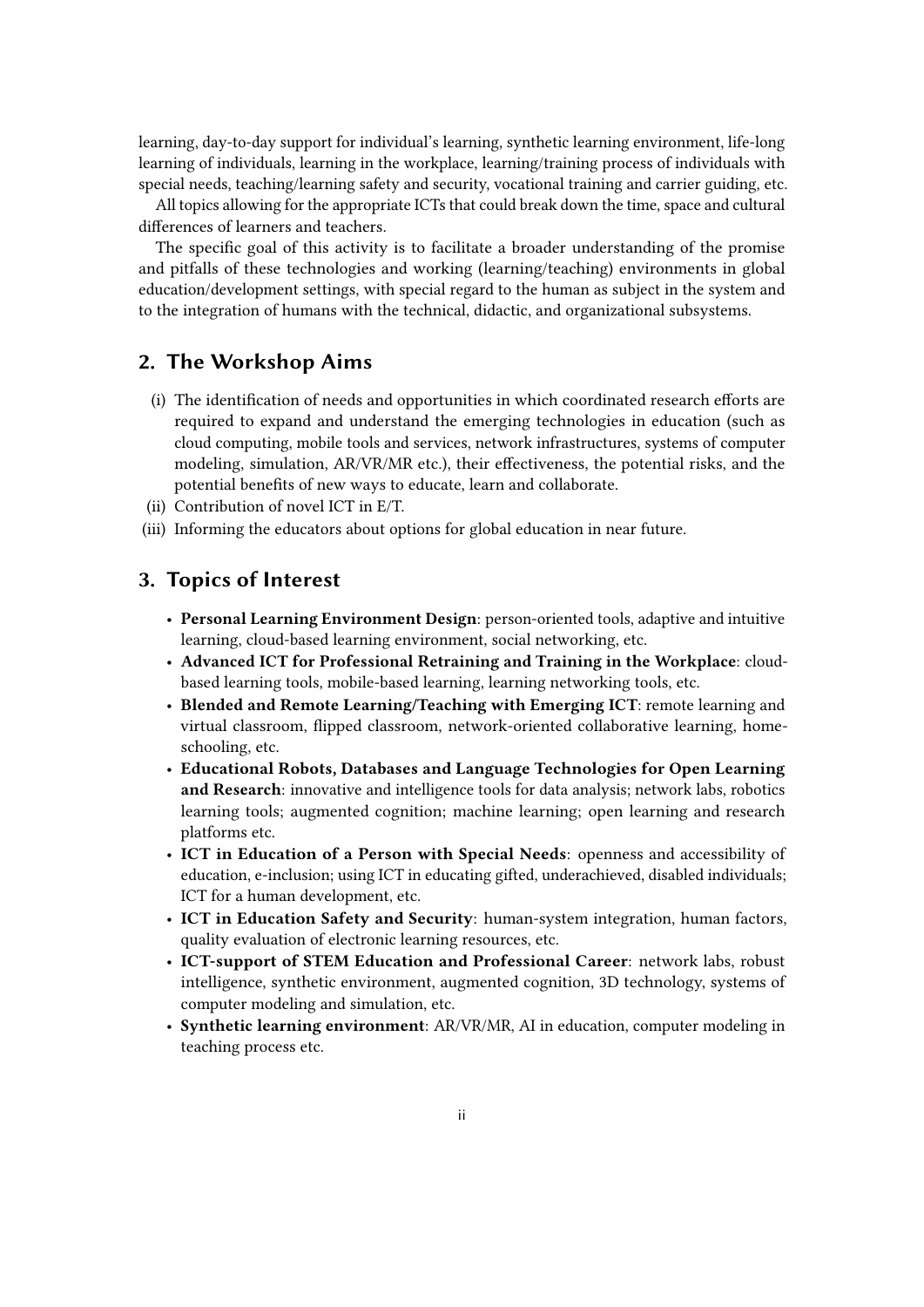learning, day-to-day support for individual's learning, synthetic learning environment, life-long learning of individuals, learning in the workplace, learning/training process of individuals with special needs, teaching/learning safety and security, vocational training and carrier guiding, etc.

All topics allowing for the appropriate ICTs that could break down the time, space and cultural differences of learners and teachers.

The specific goal of this activity is to facilitate a broader understanding of the promise and pitfalls of these technologies and working (learning/teaching) environments in global education/development settings, with special regard to the human as subject in the system and to the integration of humans with the technical, didactic, and organizational subsystems.

## **2. The Workshop Aims**

- (i) The identification of needs and opportunities in which coordinated research efforts are required to expand and understand the emerging technologies in education (such as cloud computing, mobile tools and services, network infrastructures, systems of computer modeling, simulation, AR/VR/MR etc.), their effectiveness, the potential risks, and the potential benefits of new ways to educate, learn and collaborate.
- (ii) Contribution of novel ICT in E/T.
- (iii) Informing the educators about options for global education in near future.

### **3. Topics of Interest**

- **Personal Learning Environment Design**: person-oriented tools, adaptive and intuitive learning, cloud-based learning environment, social networking, etc.
- **Advanced ICT for Professional Retraining and Training in the Workplace**: cloudbased learning tools, mobile-based learning, learning networking tools, etc.
- **Blended and Remote Learning/Teaching with Emerging ICT**: remote learning and virtual classroom, flipped classroom, network-oriented collaborative learning, homeschooling, etc.
- **Educational Robots, Databases and Language Technologies for Open Learning and Research**: innovative and intelligence tools for data analysis; network labs, robotics learning tools; augmented cognition; machine learning; open learning and research platforms etc.
- **ICT in Education of a Person with Special Needs**: openness and accessibility of education, e-inclusion; using ICT in educating gifted, underachieved, disabled individuals; ICT for a human development, etc.
- **ICT in Education Safety and Security**: human-system integration, human factors, quality evaluation of electronic learning resources, etc.
- **ICT-support of STEM Education and Professional Career**: network labs, robust intelligence, synthetic environment, augmented cognition, 3D technology, systems of computer modeling and simulation, etc.
- **Synthetic learning environment**: AR/VR/MR, AI in education, computer modeling in teaching process etc.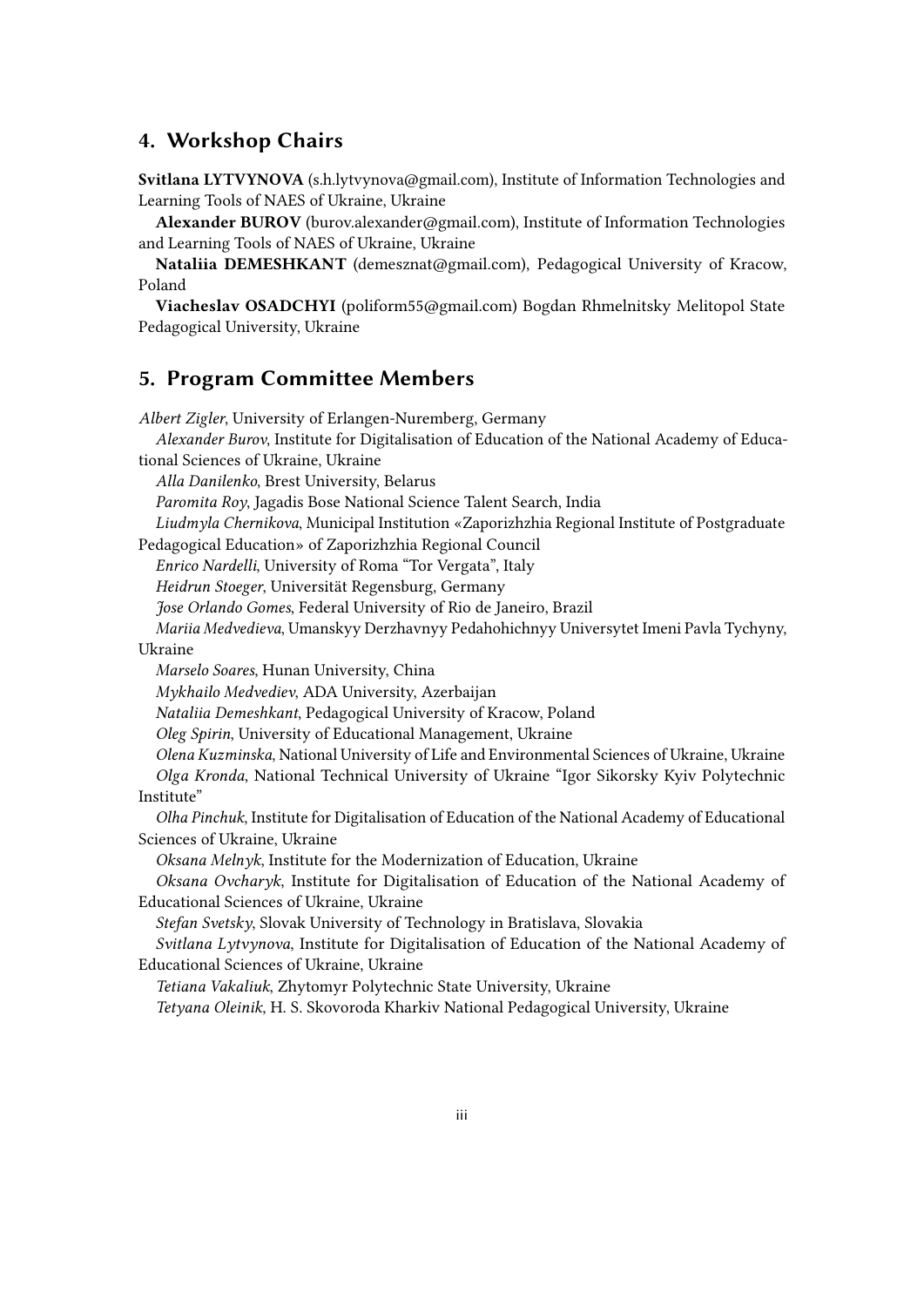### **4. Workshop Chairs**

**Svitlana LYTVYNOVA** (s.h.lytvynova@gmail.com), Institute of Information Technologies and Learning Tools of NAES of Ukraine, Ukraine

**Alexander BUROV** (burov.alexander@gmail.com), Institute of Information Technologies and Learning Tools of NAES of Ukraine, Ukraine

**Nataliia DEMESHKANT** (demesznat@gmail.com), Pedagogical University of Kracow, Poland

**Viacheslav OSADCHYI** (poliform55@gmail.com) Bogdan Rhmelnitsky Melitopol State Pedagogical University, Ukraine

#### **5. Program Committee Members**

*Albert Zigler*, University of Erlangen-Nuremberg, Germany

*Alexander Burov*, Institute for Digitalisation of Education of the National Academy of Educational Sciences of Ukraine, Ukraine

*Alla Danilenko*, Brest University, Belarus

*Paromita Roy*, Jagadis Bose National Science Talent Search, India

*Liudmyla Chernikova*, Municipal Institution «Zaporizhzhia Regional Institute of Postgraduate Pedagogical Education» of Zaporizhzhia Regional Council

*Enrico Nardelli*, University of Roma "Tor Vergata", Italy

*Heidrun Stoeger*, Universität Regensburg, Germany

*Jose Orlando Gomes*, Federal University of Rio de Janeiro, Brazil

*Mariia Medvedieva*, Umanskyy Derzhavnyy Pedahohichnyy Universytet Imeni Pavla Tychyny, Ukraine

*Marselo Soares*, Hunan University, China

*Mykhailo Medvediev*, ADA University, Azerbaijan

*Nataliia Demeshkant*, Pedagogical University of Kracow, Poland

*Oleg Spirin*, University of Educational Management, Ukraine

*Olena Kuzminska*, National University of Life and Environmental Sciences of Ukraine, Ukraine *Olga Kronda*, National Technical University of Ukraine "Igor Sikorsky Kyiv Polytechnic Institute"

*Olha Pinchuk*, Institute for Digitalisation of Education of the National Academy of Educational Sciences of Ukraine, Ukraine

*Oksana Melnyk*, Institute for the Modernization of Education, Ukraine

*Oksana Ovcharyk*, Institute for Digitalisation of Education of the National Academy of Educational Sciences of Ukraine, Ukraine

*Stefan Svetsky*, Slovak University of Technology in Bratislava, Slovakia

*Svitlana Lytvynova*, Institute for Digitalisation of Education of the National Academy of Educational Sciences of Ukraine, Ukraine

*Tetiana Vakaliuk*, Zhytomyr Polytechnic State University, Ukraine

*Tetyana Oleinik*, H. S. Skovoroda Kharkiv National Pedagogical University, Ukraine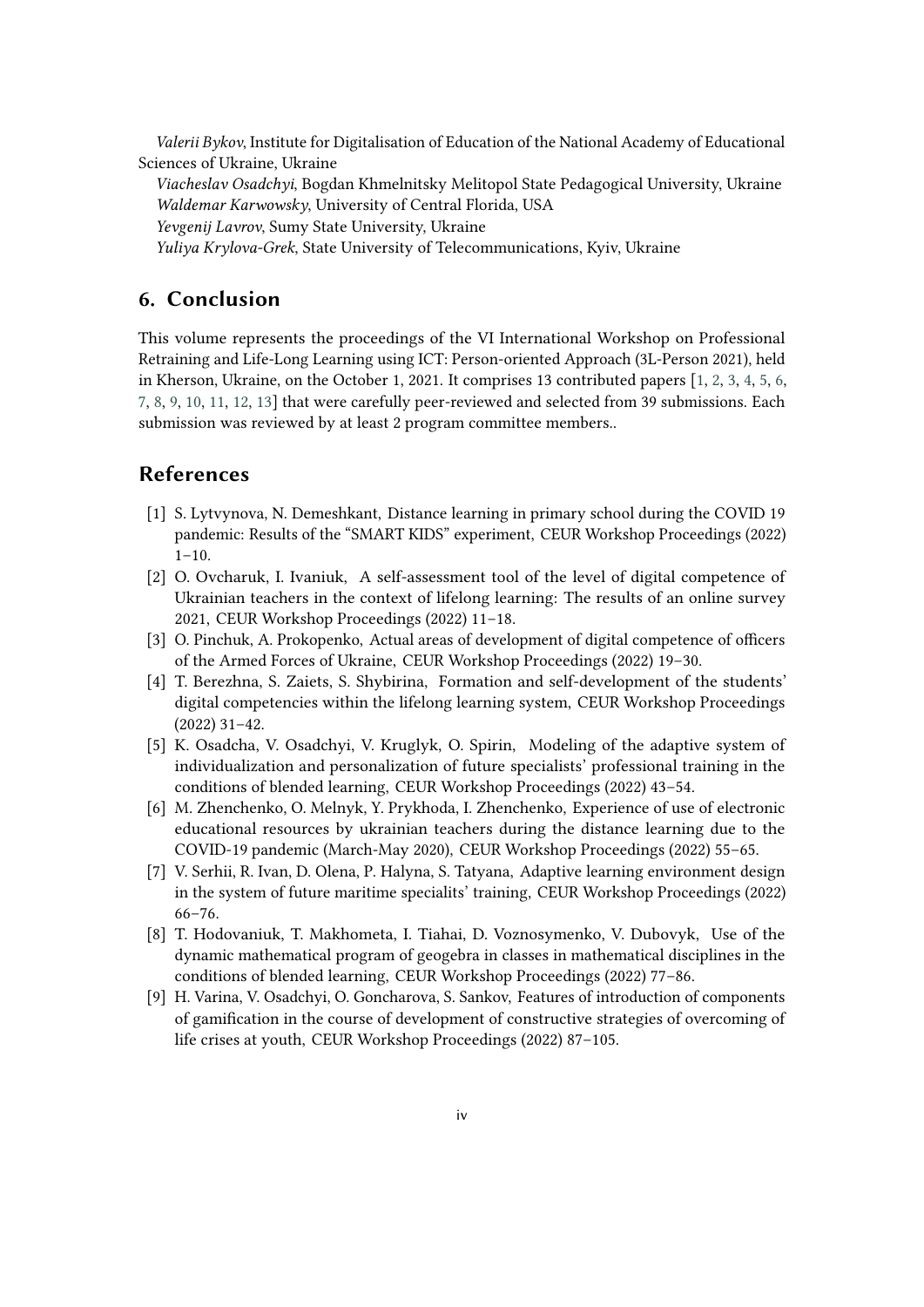*Valerii Bykov*, Institute for Digitalisation of Education of the National Academy of Educational Sciences of Ukraine, Ukraine

*Viacheslav Osadchyi*, Bogdan Khmelnitsky Melitopol State Pedagogical University, Ukraine *Waldemar Karwowsky*, University of Central Florida, USA

*Yevgenij Lavrov*, Sumy State University, Ukraine

*Yuliya Krylova-Grek*, State University of Telecommunications, Kyiv, Ukraine

# **6. Conclusion**

This volume represents the proceedings of the VI International Workshop on Professional Retraining and Life-Long Learning using ICT: Person-oriented Approach (3L-Person 2021), held in Kherson, Ukraine, on the October 1, 2021. It comprises 13 contributed papers [\[1,](#page-3-0) [2,](#page-3-1) [3,](#page-3-2) [4,](#page-3-3) [5,](#page-3-4) [6,](#page-3-5) [7,](#page-3-6) [8,](#page-3-7) [9,](#page-3-8) [10,](#page-4-0) [11,](#page-4-1) [12,](#page-4-2) [13\]](#page-4-3) that were carefully peer-reviewed and selected from 39 submissions. Each submission was reviewed by at least 2 program committee members..

#### **References**

- <span id="page-3-0"></span>[1] S. Lytvynova, N. Demeshkant, Distance learning in primary school during the COVID 19 pandemic: Results of the "SMART KIDS" experiment, CEUR Workshop Proceedings (2022)  $1 - 10$ .
- <span id="page-3-1"></span>[2] O. Ovcharuk, I. Ivaniuk, A self-assessment tool of the level of digital competence of Ukrainian teachers in the context of lifelong learning: The results of an online survey 2021, CEUR Workshop Proceedings (2022) 11–18.
- <span id="page-3-2"></span>[3] O. Pinchuk, A. Prokopenko, Actual areas of development of digital competence of officers of the Armed Forces of Ukraine, CEUR Workshop Proceedings (2022) 19–30.
- <span id="page-3-3"></span>[4] T. Berezhna, S. Zaiets, S. Shybirina, Formation and self-development of the students' digital competencies within the lifelong learning system, CEUR Workshop Proceedings (2022) 31–42.
- <span id="page-3-4"></span>[5] K. Osadcha, V. Osadchyi, V. Kruglyk, O. Spirin, Modeling of the adaptive system of individualization and personalization of future specialists' professional training in the conditions of blended learning, CEUR Workshop Proceedings (2022) 43–54.
- <span id="page-3-5"></span>[6] M. Zhenchenko, O. Melnyk, Y. Prykhoda, I. Zhenchenko, Experience of use of electronic educational resources by ukrainian teachers during the distance learning due to the COVID-19 pandemic (March-May 2020), CEUR Workshop Proceedings (2022) 55–65.
- <span id="page-3-6"></span>[7] V. Serhii, R. Ivan, D. Olena, P. Halyna, S. Tatyana, Adaptive learning environment design in the system of future maritime specialits' training, CEUR Workshop Proceedings (2022) 66–76.
- <span id="page-3-7"></span>[8] T. Hodovaniuk, T. Makhometa, I. Tiahai, D. Voznosymenko, V. Dubovyk, Use of the dynamic mathematical program of geogebra in classes in mathematical disciplines in the conditions of blended learning, CEUR Workshop Proceedings (2022) 77–86.
- <span id="page-3-8"></span>[9] H. Varina, V. Osadchyi, O. Goncharova, S. Sankov, Features of introduction of components of gamification in the course of development of constructive strategies of overcoming of life crises at youth, CEUR Workshop Proceedings (2022) 87–105.